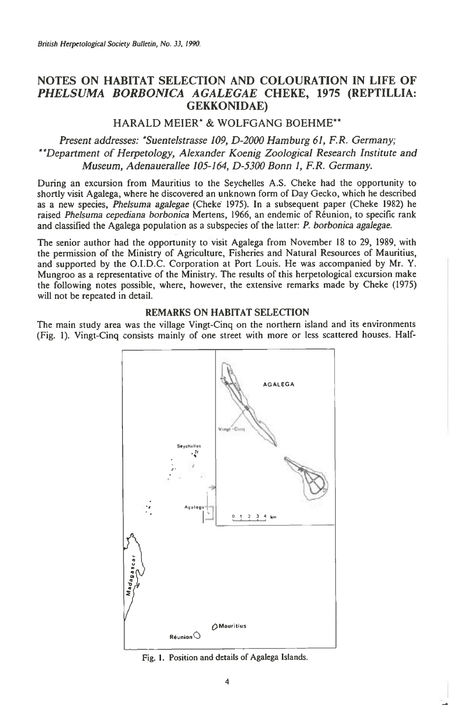# **NOTES ON HABITAT SELECTION AND COLOURATION IN LIFE OF**  *PHELSUMA BORBONICA AGALEGAE* **CHEKE, 1975 (REPTILLIA: GEKKONIDAE)**

## **HARALD MEIER\* & WOLFGANG BOEHME\*\***

*Present addresses: \*Suentelstrasse 109, D-2000 Hamburg 61, F.R. Germany; \*\*Department of Herpetology, Alexander Koenig Zoological Research Institute and Museum, Adenauerallee 105-164, D-5300 Bonn 1, F.R. Germany.* 

During an excursion from Mauritius to the Seychelles A.S. Cheke had the opportunity to shortly visit Agalega, where he discovered an unknown form of Day Gecko, which he described as a new species, *Phelsuma agalegae* (Cheke 1975). In a subsequent paper (Cheke 1982) he raised *Phelsuma cepediana borbonica* Mertens, 1966, an endemic of Reunion, to specific rank and classified the Agalega population as a subspecies of the latter: *P. borbonica agalegae.* 

The senior author had the opportunity to visit Agalega from November 18 to 29, 1989, with the permission of the Ministry of Agriculture, Fisheries and Natural Resources of Mauritius, and supported by the O.I.D.C. Corporation at Port Louis. He was accompanied by Mr. Y. Mungroo as a representative of the Ministry. The results of this herpetological excursion make the following notes possible, where, however, the extensive remarks made by Cheke (1975) will not be repeated in detail.

### **REMARKS ON HABITAT SELECTION**

The main study area was the village Vingt-Cinq on the northern island and its environments (Fig. 1). Vingt-Cinq consists mainly of one street with more or less scattered houses. Half-



Fig. 1. Position and details of Agalega Islands.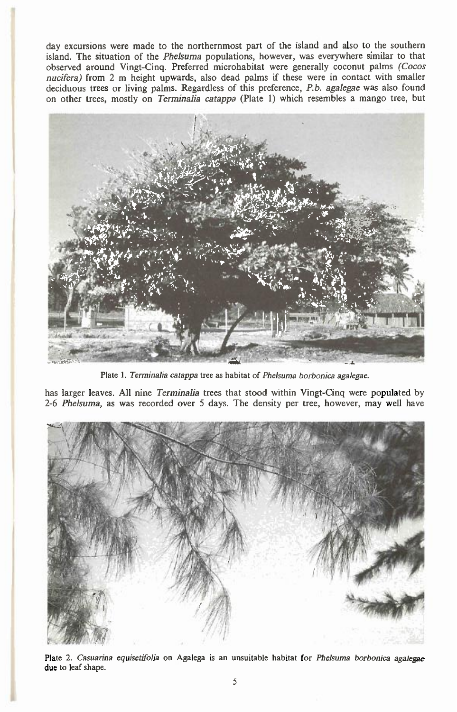day excursions were made to the northernmost part of the island and also to the southern island. The situation of the *Phelsuma* populations, however, was everywhere similar to that observed around Vingt-Cinq. Preferred microhabitat were generally coconut palms *(Cocos nucifera)* from 2 m height upwards, also dead palms if these were in contact with smaller deciduous trees or living palms. Regardless of this preference, *P.b. agalegae* was also found on other trees, mostly on *Terminalia catappa* (Plate 1) which resembles a mango tree, but



*Plate 1. Terminalia catappa tree as habitat* of *Phelsuma borbonica agalegae.* 

has larger leaves. All nine *Terminalia* trees that stood within Vingt-Cinq were populated by 2-6 *Phelsuma,* as was recorded over 5 days. The density per tree, however, may well have



Plate 2. *Casuarina equisetifolia* on Agalega is an unsuitable habitat for *Phelsuma borbonica agalegae*  due to leaf shape.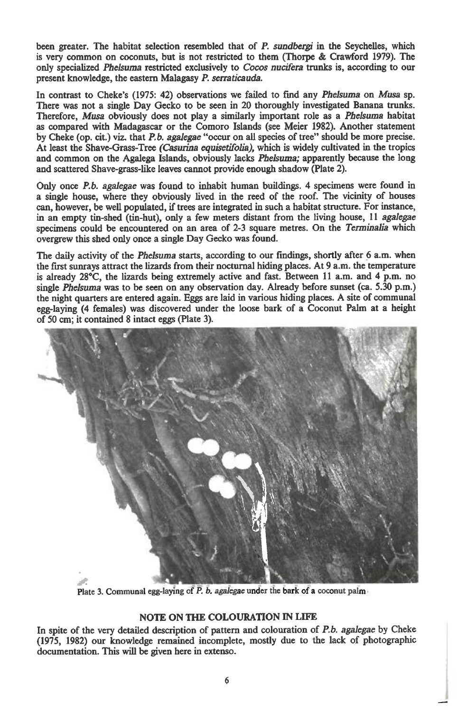**been greater. The habitat selection resembled that of** *P. sundbergi in* **the Seychelles, which is very common on coconuts, but is not restricted to them (Thorpe & Crawford 1979). The only specialized** *Phelsuma* **restricted exclusively to** *Cocos nucifera* **trunks is, according to our present knowledge, the eastern Malagasy** *P. serraticauda.* 

**In contrast to Cheke's (1975: 42) observations we failed to fmd any** *Phelsuma* **on** *Musa* **sp. There was not a single Day Gecko to be seen in 20 thoroughly investigated Banana trunks. Therefore,** *Musa* **obviously does not play a similarly important role as** *a Phelsuma* **habitat as compared with Madagascar or the Comoro Islands (see Meier 1982). Another statement by Cheke (op. cit.) viz. that** *P.b. agalegae* **"occur on all species of tree" should be more precise. At least the Shave-Grass-Tree** *(Casurina equisetifolia),* **which is widely cultivated in the tropics and common on the Agalega Islands, obviously lacks** *Phelsuma;* **apparently because the long and scattered Shave-grass-like leaves cannot provide enough shadow (Plate 2).** 

**Only once** *P.b. agalegae* **was found to inhabit human buildings. 4 specimens were found in a single house, where they obviously lived in the reed of the roof. The vicinity of houses can, however, be well populated, if trees are integrated in such a habitat structure. For instance,**  in an empty tin-shed (tin-hut), only a few meters distant from the living house, 11 *agalegae* **specimens could be encountered on an area of 2-3 square metres. On the** *Terminalia* **which overgrew this shed only once a single Day Gecko was found.** 

**The daily activity of the** *Phelsuma* **starts, according to our findings, shortly after 6 a.m. when the first sunrays attract the lizards from their nocturnal hiding places. At 9 a.m. the temperature is already 28°C, the lizards being extremely active and fast. Between 11 a.m. and 4 p.m. no single** *Phelsuma* **was to be seen on any observation day. Already before sunset (ca. 5.30 p.m.) the night quarters are entered again. Eggs are laid in various hiding places. A site of communal egg-laying (4 females) was discovered under the loose bark of a Coconut Palm at a height of 50 cm; it contained 8 intact eggs (Plate 3).** 



**Plate 3. Communal egg-laying** of *P. b. agalegae* **under the bark of a coconut palm** 

## **NOTE ON THE COLOURATION IN LIFE**

**In spite of the very detailed description of pattern and colouration of** *P.b. agalegae* **by Cheke (1975, 1982) our knowledge remained incomplete, mostly due to the lack of photographic documentation. This will be given here in extenso.**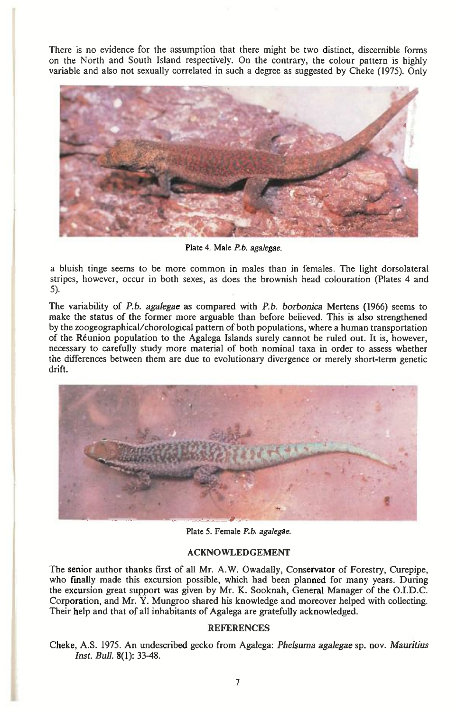There is no evidence for the assumption that there might be two distinct, discernible forms on the North and South Island respectively. On the contrary, the colour pattern is highly variable and also not sexually correlated in such a degree as suggested by Cheke (1975). Only



Plate 4. *Male P.b. agalegae.* 

a bluish tinge seems to be more common in males than in females. The light dorsolateral stripes, however, occur in both sexes, as does the brownish head colouration (Plates 4 and 5).

The variability of *P.b. agalegae* as compared with *P.b. borbonica* Mertens (1966) seems to make the status of the former more arguable than before believed. This is also strengthened by the zoogeographical/chorological pattern of both populations, where a human transportation of the Reunion population to the Agalega Islands surely cannot be ruled out. It is, however, necessary to carefully study more material of both nominal taxa in order to assess whether the differences between them are due to evolutionary divergence or merely short-term genetic drift.



Plate 5. Female *P.b. agalegae.* 

### ACKNOWLEDGEMENT

The senior author thanks first of all Mr. A.W. Owadally, Conservator of Forestry, Curepipe, who finally made this excursion possible, which had been planned for many years. During the excursion great support was given by Mr. K. Sooknah, General Manager of the O.I.D.C. Corporation, and Mr. Y. Mungroo shared his knowledge and moreover helped with collecting. Their help and that of all inhabitants of Agalega are gratefully acknowledged.

#### REFERENCES

Cheke, A.S. 1975. An undescribed gecko from Agalega: *Phelsuma agalegae* sp. nov. *Mauritius Inst. Bull.* 8(1): 33-48.

I